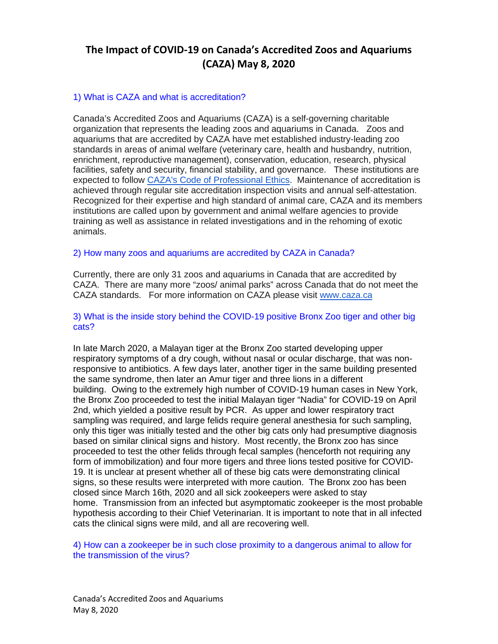## 1) What is CAZA and what is accreditation?

Canada's Accredited Zoos and Aquariums (CAZA) is a self-governing charitable organization that represents the leading zoos and aquariums in Canada. Zoos and aquariums that are accredited by CAZA have met established industry-leading zoo standards in areas of animal welfare (veterinary care, health and husbandry, nutrition, enrichment, reproductive management), conservation, education, research, physical facilities, safety and security, financial stability, and governance. These institutions are expected to follow [CAZA's Code of Professional Ethics.](https://caza.ca/wp-content/uploads/2016/06/CAZA-Code-of-Professional-Ethics.pdf) Maintenance of accreditation is achieved through regular site accreditation inspection visits and annual self-attestation. Recognized for their expertise and high standard of animal care, CAZA and its members institutions are called upon by government and animal welfare agencies to provide training as well as assistance in related investigations and in the rehoming of exotic animals.

#### 2) How many zoos and aquariums are accredited by CAZA in Canada?

Currently, there are only 31 zoos and aquariums in Canada that are accredited by CAZA. There are many more "zoos/ animal parks" across Canada that do not meet the CAZA standards. For more information on CAZA please visit [www.caza.ca](http://www.caza.ca/) 

#### 3) What is the inside story behind the COVID-19 positive Bronx Zoo tiger and other big cats?

In late March 2020, a Malayan tiger at the Bronx Zoo started developing upper respiratory symptoms of a dry cough, without nasal or ocular discharge, that was nonresponsive to antibiotics. A few days later, another tiger in the same building presented the same syndrome, then later an Amur tiger and three lions in a different building. Owing to the extremely high number of COVID-19 human cases in New York, the Bronx Zoo proceeded to test the initial Malayan tiger "Nadia" for COVID-19 on April 2nd, which yielded a positive result by PCR. As upper and lower respiratory tract sampling was required, and large felids require general anesthesia for such sampling, only this tiger was initially tested and the other big cats only had presumptive diagnosis based on similar clinical signs and history. Most recently, the Bronx zoo has since proceeded to test the other felids through fecal samples (henceforth not requiring any form of immobilization) and four more tigers and three lions tested positive for COVID-19. It is unclear at present whether all of these big cats were demonstrating clinical signs, so these results were interpreted with more caution. The Bronx zoo has been closed since March 16th, 2020 and all sick zookeepers were asked to stay home. Transmission from an infected but asymptomatic zookeeper is the most probable hypothesis according to their Chief Veterinarian. It is important to note that in all infected cats the clinical signs were mild, and all are recovering well.

4) How can a zookeeper be in such close proximity to a dangerous animal to allow for the transmission of the virus?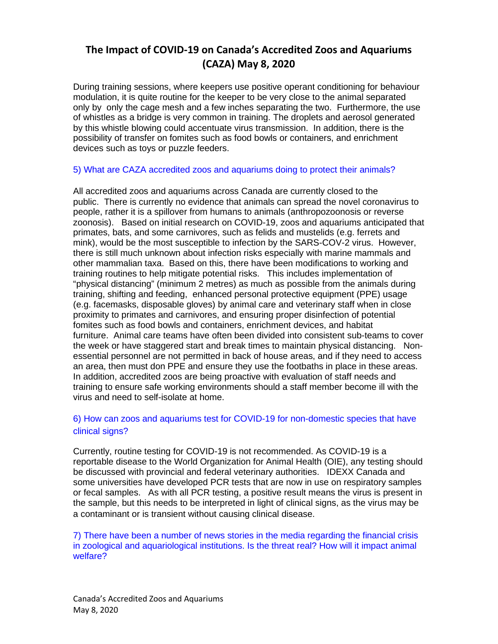During training sessions, where keepers use positive operant conditioning for behaviour modulation, it is quite routine for the keeper to be very close to the animal separated only by only the cage mesh and a few inches separating the two. Furthermore, the use of whistles as a bridge is very common in training. The droplets and aerosol generated by this whistle blowing could accentuate virus transmission. In addition, there is the possibility of transfer on fomites such as food bowls or containers, and enrichment devices such as toys or puzzle feeders.

## 5) What are CAZA accredited zoos and aquariums doing to protect their animals?

All accredited zoos and aquariums across Canada are currently closed to the public. There is currently no evidence that animals can spread the novel coronavirus to people, rather it is a spillover from humans to animals (anthropozoonosis or reverse zoonosis). Based on initial research on COVID-19, zoos and aquariums anticipated that primates, bats, and some carnivores, such as felids and mustelids (e.g. ferrets and mink), would be the most susceptible to infection by the SARS-COV-2 virus. However, there is still much unknown about infection risks especially with marine mammals and other mammalian taxa. Based on this, there have been modifications to working and training routines to help mitigate potential risks. This includes implementation of "physical distancing" (minimum 2 metres) as much as possible from the animals during training, shifting and feeding, enhanced personal protective equipment (PPE) usage (e.g. facemasks, disposable gloves) by animal care and veterinary staff when in close proximity to primates and carnivores, and ensuring proper disinfection of potential fomites such as food bowls and containers, enrichment devices, and habitat furniture. Animal care teams have often been divided into consistent sub-teams to cover the week or have staggered start and break times to maintain physical distancing. Nonessential personnel are not permitted in back of house areas, and if they need to access an area, then must don PPE and ensure they use the footbaths in place in these areas. In addition, accredited zoos are being proactive with evaluation of staff needs and training to ensure safe working environments should a staff member become ill with the virus and need to self-isolate at home.

## 6) How can zoos and aquariums test for COVID-19 for non-domestic species that have clinical signs?

Currently, routine testing for COVID-19 is not recommended. As COVID-19 is a reportable disease to the World Organization for Animal Health (OIE), any testing should be discussed with provincial and federal veterinary authorities. IDEXX Canada and some universities have developed PCR tests that are now in use on respiratory samples or fecal samples. As with all PCR testing, a positive result means the virus is present in the sample, but this needs to be interpreted in light of clinical signs, as the virus may be a contaminant or is transient without causing clinical disease.

7) There have been a number of news stories in the media regarding the financial crisis in zoological and aquariological institutions. Is the threat real? How will it impact animal welfare?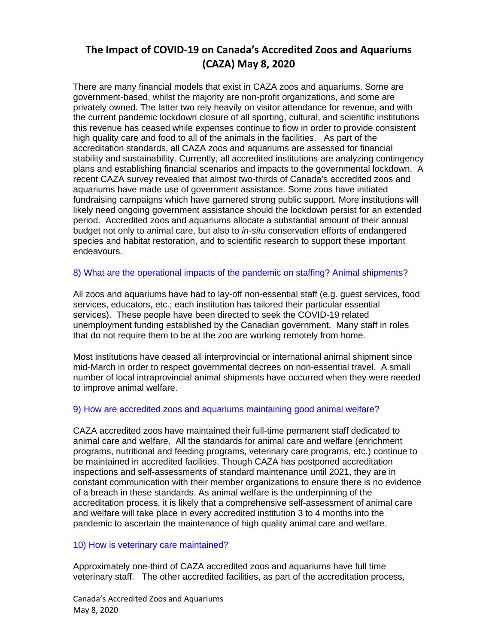There are many financial models that exist in CAZA zoos and aquariums. Some are government-based, whilst the majority are non-profit organizations, and some are privately owned. The latter two rely heavily on visitor attendance for revenue, and with the current pandemic lockdown closure of all sporting, cultural, and scientific institutions this revenue has ceased while expenses continue to flow in order to provide consistent high quality care and food to all of the animals in the facilities. As part of the accreditation standards, all CAZA zoos and aquariums are assessed for financial stability and sustainability. Currently, all accredited institutions are analyzing contingency plans and establishing financial scenarios and impacts to the governmental lockdown. A recent CAZA survey revealed that almost two-thirds of Canada's accredited zoos and aquariums have made use of government assistance. Some zoos have initiated fundraising campaigns which have garnered strong public support. More institutions will likely need ongoing government assistance should the lockdown persist for an extended period. Accredited zoos and aquariums allocate a substantial amount of their annual budget not only to animal care, but also to *in-situ* conservation efforts of endangered species and habitat restoration, and to scientific research to support these important endeavours.

## 8) What are the operational impacts of the pandemic on staffing? Animal shipments?

All zoos and aquariums have had to lay-off non-essential staff (e.g. guest services, food services, educators, etc.; each institution has tailored their particular essential services). These people have been directed to seek the COVID-19 related unemployment funding established by the Canadian government. Many staff in roles that do not require them to be at the zoo are working remotely from home.

Most institutions have ceased all interprovincial or international animal shipment since mid-March in order to respect governmental decrees on non-essential travel. A small number of local intraprovincial animal shipments have occurred when they were needed to improve animal welfare.

## 9) How are accredited zoos and aquariums maintaining good animal welfare?

CAZA accredited zoos have maintained their full-time permanent staff dedicated to animal care and welfare. All the standards for animal care and welfare (enrichment programs, nutritional and feeding programs, veterinary care programs, etc.) continue to be maintained in accredited facilities. Though CAZA has postponed accreditation inspections and self-assessments of standard maintenance until 2021, they are in constant communication with their member organizations to ensure there is no evidence of a breach in these standards. As animal welfare is the underpinning of the accreditation process, it is likely that a comprehensive self-assessment of animal care and welfare will take place in every accredited institution 3 to 4 months into the pandemic to ascertain the maintenance of high quality animal care and welfare.

### 10) How is veterinary care maintained?

Approximately one-third of CAZA accredited zoos and aquariums have full time veterinary staff. The other accredited facilities, as part of the accreditation process,